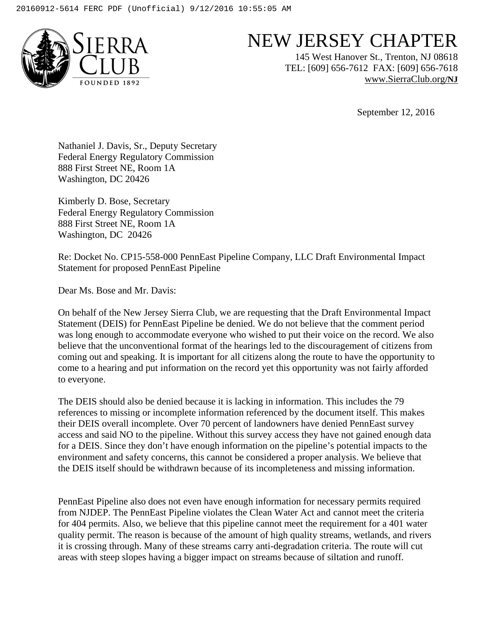

## NEW JERSEY CHAPTER

145 West Hanover St., Trenton, NJ 08618 TEL: [609] 656-7612 FAX: [609] 656-7618 www.SierraClub.org**/NJ**

September 12, 2016

Nathaniel J. Davis, Sr., Deputy Secretary Federal Energy Regulatory Commission 888 First Street NE, Room 1A Washington, DC 20426

Kimberly D. Bose, Secretary Federal Energy Regulatory Commission 888 First Street NE, Room 1A Washington, DC 20426

Re: Docket No. CP15-558-000 PennEast Pipeline Company, LLC Draft Environmental Impact Statement for proposed PennEast Pipeline

Dear Ms. Bose and Mr. Davis:

On behalf of the New Jersey Sierra Club, we are requesting that the Draft Environmental Impact Statement (DEIS) for PennEast Pipeline be denied. We do not believe that the comment period was long enough to accommodate everyone who wished to put their voice on the record. We also believe that the unconventional format of the hearings led to the discouragement of citizens from coming out and speaking. It is important for all citizens along the route to have the opportunity to come to a hearing and put information on the record yet this opportunity was not fairly afforded to everyone.

The DEIS should also be denied because it is lacking in information. This includes the 79 references to missing or incomplete information referenced by the document itself. This makes their DEIS overall incomplete. Over 70 percent of landowners have denied PennEast survey access and said NO to the pipeline. Without this survey access they have not gained enough data for a DEIS. Since they don't have enough information on the pipeline's potential impacts to the environment and safety concerns, this cannot be considered a proper analysis. We believe that the DEIS itself should be withdrawn because of its incompleteness and missing information.

PennEast Pipeline also does not even have enough information for necessary permits required from NJDEP. The PennEast Pipeline violates the Clean Water Act and cannot meet the criteria for 404 permits. Also, we believe that this pipeline cannot meet the requirement for a 401 water quality permit. The reason is because of the amount of high quality streams, wetlands, and rivers it is crossing through. Many of these streams carry anti-degradation criteria. The route will cut areas with steep slopes having a bigger impact on streams because of siltation and runoff.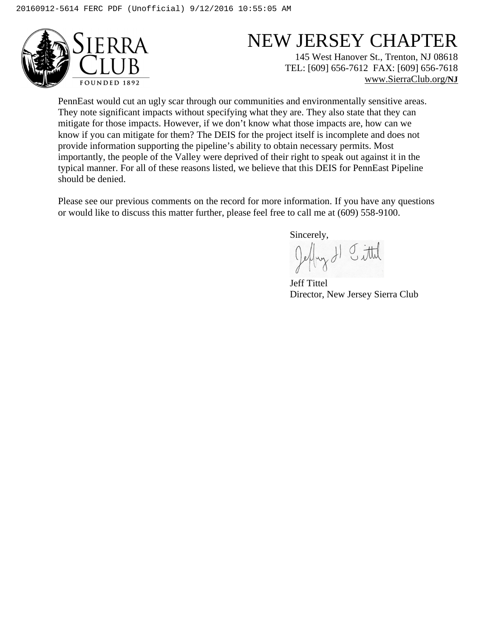

## NEW JERSEY CHAPTER

145 West Hanover St., Trenton, NJ 08618 TEL: [609] 656-7612 FAX: [609] 656-7618 www.SierraClub.org**/NJ**

PennEast would cut an ugly scar through our communities and environmentally sensitive areas. They note significant impacts without specifying what they are. They also state that they can mitigate for those impacts. However, if we don't know what those impacts are, how can we know if you can mitigate for them? The DEIS for the project itself is incomplete and does not provide information supporting the pipeline's ability to obtain necessary permits. Most importantly, the people of the Valley were deprived of their right to speak out against it in the typical manner. For all of these reasons listed, we believe that this DEIS for PennEast Pipeline should be denied.

Please see our previous comments on the record for more information. If you have any questions or would like to discuss this matter further, please feel free to call me at (609) 558-9100.

Sincerely,<br> $\int e^{\frac{1}{2}} | \sqrt{x} \sqrt{y} |$   $\int dt d\theta$ 

Jeff Tittel Director, New Jersey Sierra Club